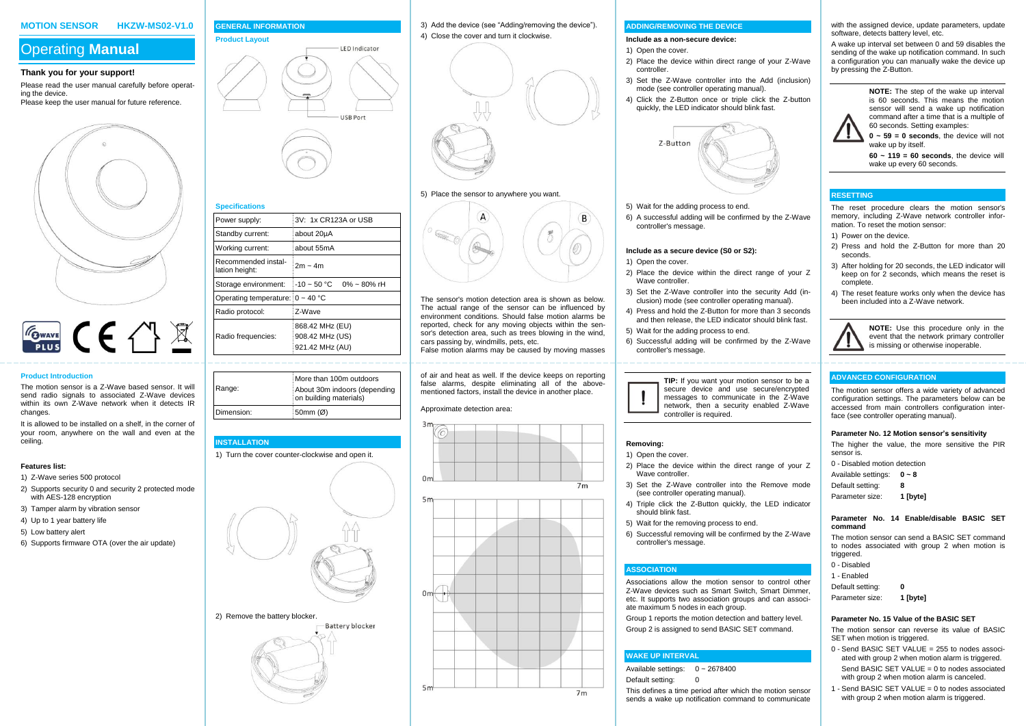#### **MOTION SENSOR HKZW-MS02-V1.0**

# Operating **Manual**

#### **Thank you for your support!**

Please read the user manual carefully before operating the device. Please keep the user manual for future reference.





## **Product Introduction**

The motion sensor is a Z-Wave based sensor. It will send radio signals to associated Z-Wave devices within its own Z-Wave network when it detects IR changes.

It is allowed to be installed on a shelf, in the corner of your room, anywhere on the wall and even at the ceiling.

#### **Features list:**

- 1) Z-Wave series 500 protocol
- 2) Supports security 0 and security 2 protected mode with AES-128 encryption
- 3) Tamper alarm by vibration sensor
- 4) Up to 1 year battery life
- 5) Low battery alert
- 6) Supports firmware OTA (over the air update)

# **GENERAL INFORMATION Product Layout IFD** Indicator

Power supply: 3V: 1x CR123A or USB

 $2m \approx 4m$ 

868.42 MHz (EU) 908.42 MHz (US) 921.42 MHz (AU)

**LISR Port** 

Standby current: about 20µA Working current: about 55mA

Operating temperature: 0 ~ 40 °C Radio protocol: Z-Wave

Dimension: 50mm (Ø)

**Specifications**

Recommended installation height:

Radio frequencies:

**INSTALLATION**

Range:

3) Add the device (see "Adding/removing the device"). 4) Close the cover and turn it clockwise.



# 5) Place the sensor to anywhere you want.



The sensor's motion detection area is shown as below. The actual range of the sensor can be influenced by environment conditions. Should false motion alarms be reported, check for any moving objects within the sensor's detection area, such as trees blowing in the wind cars passing by, windmills, pets, etc. False motion alarms may be caused by moving masses

of air and heat as well. If the device keeps on reporting false alarms, despite eliminating all of the abovementioned factors, install the device in another place.



#### **ADDING/REMOVING THE DEVICE**

#### **Include as a non-secure device:**

# 1) Open the cover.

- 2) Place the device within direct range of your Z-Wave controller.
- 3) Set the Z-Wave controller into the Add (inclusion) mode (see controller operating manual).
- 4) Click the Z-Button once or triple click the Z-button quickly, the LED indicator should blink fast.



- 5) Wait for the adding process to end.
- 6) A successful adding will be confirmed by the Z-Wave controller's message.

# **Include as a secure device (S0 or S2):**

- 1) Open the cover.
- 2) Place the device within the direct range of your Z Wave controller
- 3) Set the Z-Wave controller into the security Add (inclusion) mode (see controller operating manual).
- 4) Press and hold the Z-Button for more than 3 seconds and then release, the LED indicator should blink fast.
- 5) Wait for the adding process to end.
- 6) Successful adding will be confirmed by the Z-Wave controller's message.



#### **Removing:**

- 1) Open the cover.
- 2) Place the device within the direct range of your Z Wave controller.
- 3) Set the Z-Wave controller into the Remove mode (see controller operating manual).
- 4) Triple click the Z-Button quickly, the LED indicator should blink fast.
- 5) Wait for the removing process to end.
- 6) Successful removing will be confirmed by the Z-Wave controller's message.

#### **ASSOCIATION**

Associations allow the motion sensor to control other Z-Wave devices such as Smart Switch, Smart Dimmer, etc. It supports two association groups and can associate maximum 5 nodes in each group.

Group 1 reports the motion detection and battery level. Group 2 is assigned to send BASIC SET command.

### **WAKE UP INTERVAL**

Available settings: 0 ~ 2678400

Default setting: 0

This defines a time period after which the motion sensor sends a wake up notification command to communicate with the assigned device, update parameters, update software, detects battery level, etc.

A wake up interval set between 0 and 59 disables the sending of the wake up notification command. In such a configuration you can manually wake the device up by pressing the Z-Button.

> **NOTE:** The step of the wake up interval is 60 seconds. This means the motion sensor will send a wake up notification command after a time that is a multiple of 60 seconds. Setting examples:

 $0 \approx 59 = 0$  seconds, the device will not wake up by itself

**60 ~ 119 = 60 seconds**, the device will wake up every 60 seconds.

# **RESETTING**

The reset procedure clears the motion sensor's memory, including Z-Wave network controller information. To reset the motion sensor:

- 1) Power on the device.
- 2) Press and hold the Z-Button for more than 20 seconds.
- 3) After holding for 20 seconds, the LED indicator will keep on for 2 seconds, which means the reset is complete.
- 4) The reset feature works only when the device has been included into a Z-Wave network.



### **ADVANCED CONFIGURATION**

The motion sensor offers a wide variety of advanced configuration settings. The parameters below can be accessed from main controllers configuration interface (see controller operating manual).

#### **Parameter No. 12 Motion sensor's sensitivity**

The higher the value, the more sensitive the PIR sensor is.

- 0 Disabled motion detection
- Available settings: **0 ~ 8**
- Default setting: **8**
- Parameter size: **1 [byte]**

#### **Parameter No. 14 Enable/disable BASIC SET command**

The motion sensor can send a BASIC SET command to nodes associated with group 2 when motion is triggered.

- 0 Disabled
- 1 Enabled Default setting: **0**
- Parameter size: **1 [byte]**

#### **Parameter No. 15 Value of the BASIC SET**

The motion sensor can reverse its value of BASIC SET when motion is triggered.

- 0 Send BASIC SET VALUE = 255 to nodes associated with group 2 when motion alarm is triggered. Send BASIC SET VALUE =  $0$  to nodes associated with group 2 when motion alarm is canceled.
- 1 Send BASIC SET VALUE = 0 to nodes associated with group 2 when motion alarm is triggered.

2) Remove the battery blocker.